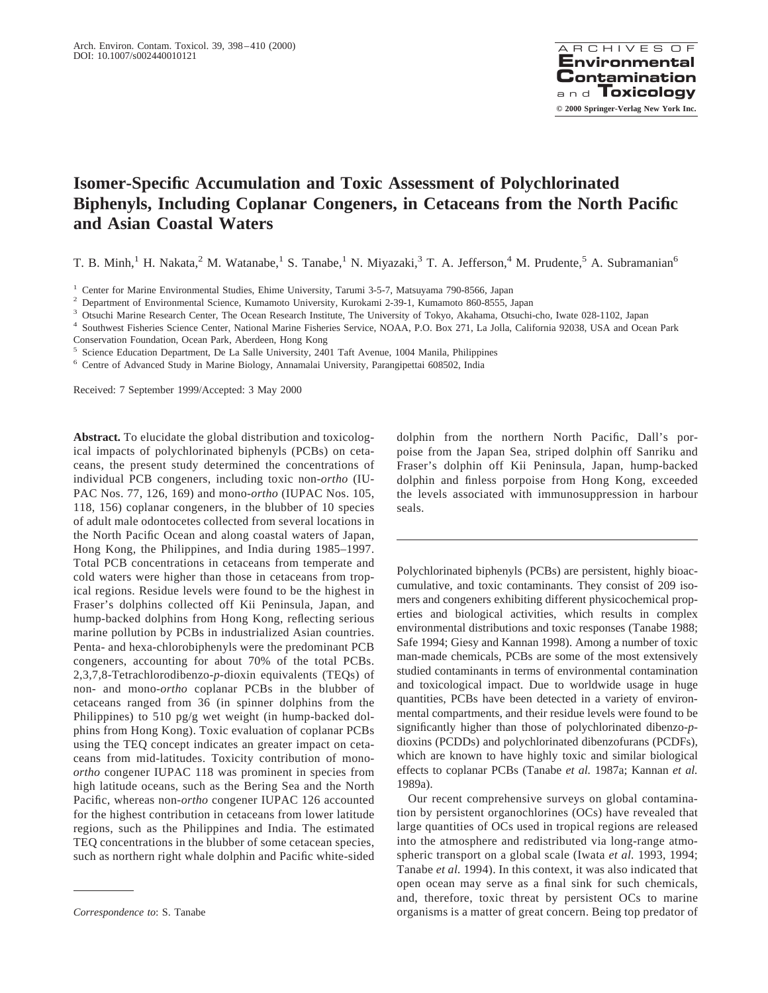# **Isomer-Specific Accumulation and Toxic Assessment of Polychlorinated Biphenyls, Including Coplanar Congeners, in Cetaceans from the North Pacific and Asian Coastal Waters**

T. B. Minh,<sup>1</sup> H. Nakata,<sup>2</sup> M. Watanabe,<sup>1</sup> S. Tanabe,<sup>1</sup> N. Miyazaki,<sup>3</sup> T. A. Jefferson,<sup>4</sup> M. Prudente,<sup>5</sup> A. Subramanian<sup>6</sup>

<sup>1</sup> Center for Marine Environmental Studies, Ehime University, Tarumi 3-5-7, Matsuyama 790-8566, Japan

<sup>2</sup> Department of Environmental Science, Kumamoto University, Kurokami 2-39-1, Kumamoto 860-8555, Japan

<sup>3</sup> Otsuchi Marine Research Center, The Ocean Research Institute, The University of Tokyo, Akahama, Otsuchi-cho, Iwate 028-1102, Japan

<sup>4</sup> Southwest Fisheries Science Center, National Marine Fisheries Service, NOAA, P.O. Box 271, La Jolla, California 92038, USA and Ocean Park Conservation Foundation, Ocean Park, Aberdeen, Hong Kong

<sup>5</sup> Science Education Department, De La Salle University, 2401 Taft Avenue, 1004 Manila, Philippines

<sup>6</sup> Centre of Advanced Study in Marine Biology, Annamalai University, Parangipettai 608502, India

Received: 7 September 1999/Accepted: 3 May 2000

**Abstract.** To elucidate the global distribution and toxicological impacts of polychlorinated biphenyls (PCBs) on cetaceans, the present study determined the concentrations of individual PCB congeners, including toxic non-*ortho* (IU-PAC Nos. 77, 126, 169) and mono-*ortho* (IUPAC Nos. 105, 118, 156) coplanar congeners, in the blubber of 10 species of adult male odontocetes collected from several locations in the North Pacific Ocean and along coastal waters of Japan, Hong Kong, the Philippines, and India during 1985–1997. Total PCB concentrations in cetaceans from temperate and cold waters were higher than those in cetaceans from tropical regions. Residue levels were found to be the highest in Fraser's dolphins collected off Kii Peninsula, Japan, and hump-backed dolphins from Hong Kong, reflecting serious marine pollution by PCBs in industrialized Asian countries. Penta- and hexa-chlorobiphenyls were the predominant PCB congeners, accounting for about 70% of the total PCBs. 2,3,7,8-Tetrachlorodibenzo-*p*-dioxin equivalents (TEQs) of non- and mono-*ortho* coplanar PCBs in the blubber of cetaceans ranged from 36 (in spinner dolphins from the Philippines) to 510 pg/g wet weight (in hump-backed dolphins from Hong Kong). Toxic evaluation of coplanar PCBs using the TEQ concept indicates an greater impact on cetaceans from mid-latitudes. Toxicity contribution of mono*ortho* congener IUPAC 118 was prominent in species from high latitude oceans, such as the Bering Sea and the North Pacific, whereas non-*ortho* congener IUPAC 126 accounted for the highest contribution in cetaceans from lower latitude regions, such as the Philippines and India. The estimated TEQ concentrations in the blubber of some cetacean species, such as northern right whale dolphin and Pacific white-sided

dolphin from the northern North Pacific, Dall's porpoise from the Japan Sea, striped dolphin off Sanriku and Fraser's dolphin off Kii Peninsula, Japan, hump-backed dolphin and finless porpoise from Hong Kong, exceeded the levels associated with immunosuppression in harbour seals.

Polychlorinated biphenyls (PCBs) are persistent, highly bioaccumulative, and toxic contaminants. They consist of 209 isomers and congeners exhibiting different physicochemical properties and biological activities, which results in complex environmental distributions and toxic responses (Tanabe 1988; Safe 1994; Giesy and Kannan 1998). Among a number of toxic man-made chemicals, PCBs are some of the most extensively studied contaminants in terms of environmental contamination and toxicological impact. Due to worldwide usage in huge quantities, PCBs have been detected in a variety of environmental compartments, and their residue levels were found to be significantly higher than those of polychlorinated dibenzo-*p*dioxins (PCDDs) and polychlorinated dibenzofurans (PCDFs), which are known to have highly toxic and similar biological effects to coplanar PCBs (Tanabe *et al.* 1987a; Kannan *et al.* 1989a).

Our recent comprehensive surveys on global contamination by persistent organochlorines (OCs) have revealed that large quantities of OCs used in tropical regions are released into the atmosphere and redistributed via long-range atmospheric transport on a global scale (Iwata *et al.* 1993, 1994; Tanabe *et al.* 1994). In this context, it was also indicated that open ocean may serve as a final sink for such chemicals, and, therefore, toxic threat by persistent OCs to marine *Correspondence to*: S. Tanabe **organisms** is a matter of great concern. Being top predator of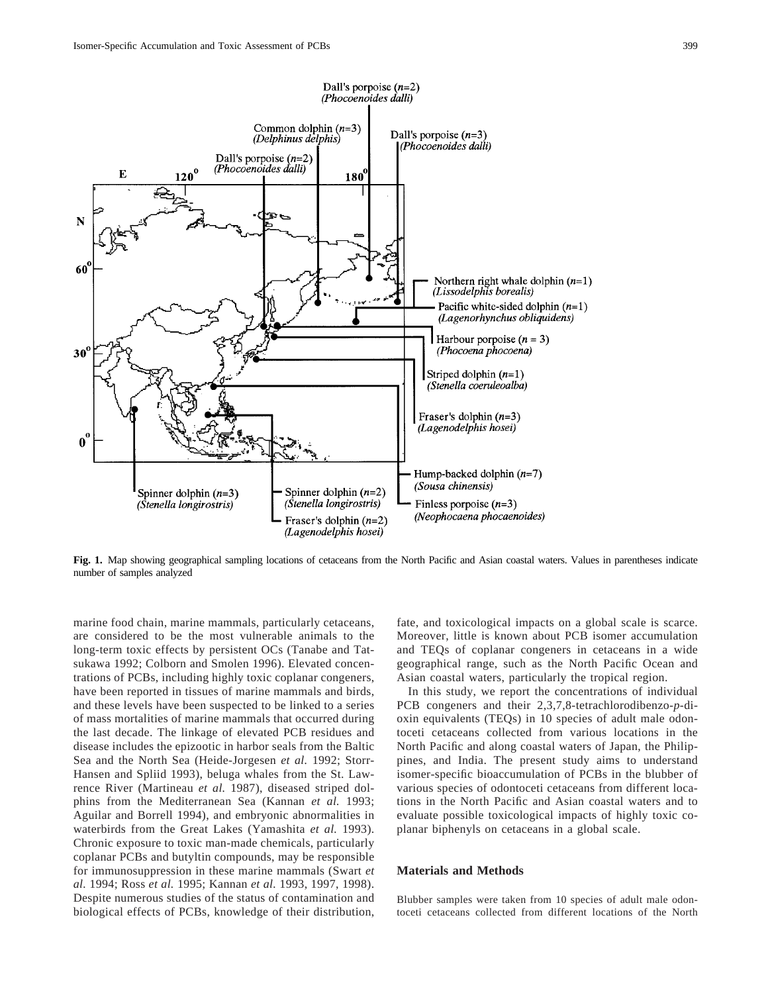

**Fig. 1.** Map showing geographical sampling locations of cetaceans from the North Pacific and Asian coastal waters. Values in parentheses indicate number of samples analyzed

marine food chain, marine mammals, particularly cetaceans, are considered to be the most vulnerable animals to the long-term toxic effects by persistent OCs (Tanabe and Tatsukawa 1992; Colborn and Smolen 1996). Elevated concentrations of PCBs, including highly toxic coplanar congeners, have been reported in tissues of marine mammals and birds, and these levels have been suspected to be linked to a series of mass mortalities of marine mammals that occurred during the last decade. The linkage of elevated PCB residues and disease includes the epizootic in harbor seals from the Baltic Sea and the North Sea (Heide-Jorgesen *et al.* 1992; Storr-Hansen and Spliid 1993), beluga whales from the St. Lawrence River (Martineau *et al.* 1987), diseased striped dolphins from the Mediterranean Sea (Kannan *et al.* 1993; Aguilar and Borrell 1994), and embryonic abnormalities in waterbirds from the Great Lakes (Yamashita *et al.* 1993). Chronic exposure to toxic man-made chemicals, particularly coplanar PCBs and butyltin compounds, may be responsible for immunosuppression in these marine mammals (Swart *et al.* 1994; Ross *et al.* 1995; Kannan *et al.* 1993, 1997, 1998). Despite numerous studies of the status of contamination and biological effects of PCBs, knowledge of their distribution, fate, and toxicological impacts on a global scale is scarce. Moreover, little is known about PCB isomer accumulation and TEQs of coplanar congeners in cetaceans in a wide geographical range, such as the North Pacific Ocean and Asian coastal waters, particularly the tropical region.

In this study, we report the concentrations of individual PCB congeners and their 2,3,7,8-tetrachlorodibenzo-*p*-dioxin equivalents (TEQs) in 10 species of adult male odontoceti cetaceans collected from various locations in the North Pacific and along coastal waters of Japan, the Philippines, and India. The present study aims to understand isomer-specific bioaccumulation of PCBs in the blubber of various species of odontoceti cetaceans from different locations in the North Pacific and Asian coastal waters and to evaluate possible toxicological impacts of highly toxic coplanar biphenyls on cetaceans in a global scale.

### **Materials and Methods**

Blubber samples were taken from 10 species of adult male odontoceti cetaceans collected from different locations of the North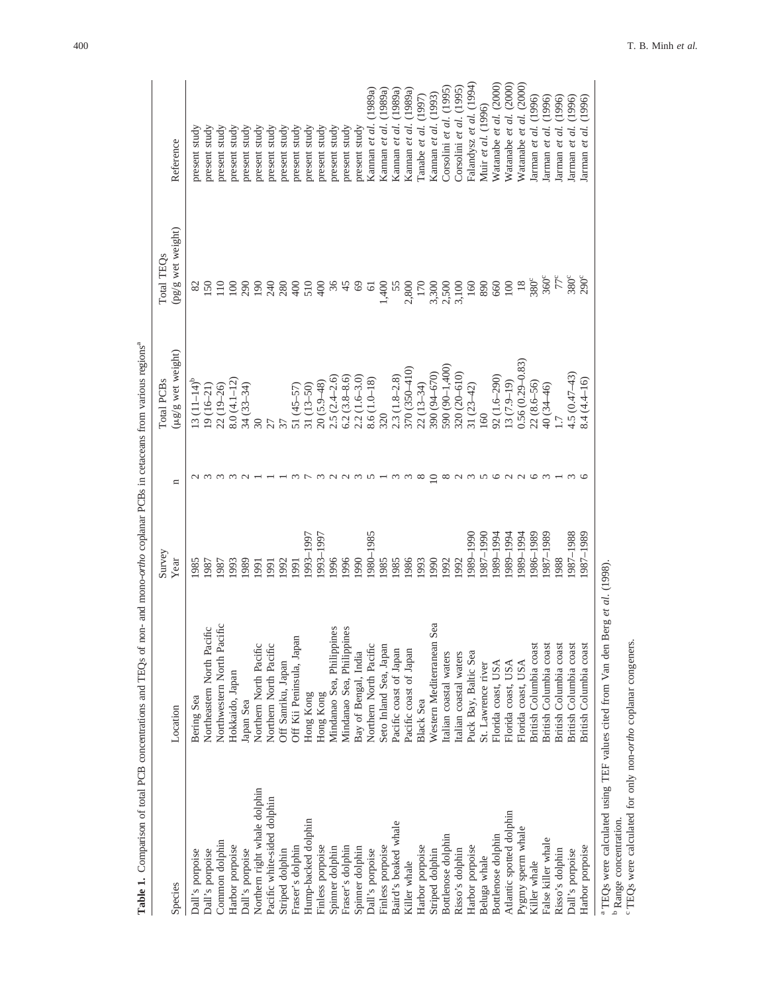|                                                                                                                                |                              | Survey   |   | Total PCBs          | Total TEOs       |                                 |
|--------------------------------------------------------------------------------------------------------------------------------|------------------------------|----------|---|---------------------|------------------|---------------------------------|
| Species                                                                                                                        | Location                     | Year     | n | ug'g wet weight)    | pg/g wet weight) | Reference                       |
| Dall's porpoise                                                                                                                | Bering Sea                   | 985      |   | $13(11-14)^t$       | 82               | present study                   |
| Dall's porpoise                                                                                                                | Northeastern North Pacific   | .987     |   | $19(16 - 21)$       | $\overline{50}$  | present study                   |
| Common dolphin                                                                                                                 | Northwestern North Pacific   | 987      |   | $22(19-26)$         | $\Xi$            | present study                   |
| Harbor porpoise                                                                                                                | Hokkaido, Japan              | 993      |   | $8.0(4.1 - 12)$     | 100              | present study                   |
| Dall's porpoise                                                                                                                | Japan Sea                    | 989      |   | $34(33-34)$         | 290              | present study                   |
| Northern right whale dolphin                                                                                                   | Northern North Pacific       | 991      |   | $\overline{30}$     | $\overline{190}$ | present study                   |
| Pacific white-sided dolphin                                                                                                    | Northern North Pacific       | 991      |   | 27                  | 240              | present study                   |
| Striped dolphin                                                                                                                | Off Sanriku, Japan           | 992      |   | 57                  | 280              | present study                   |
| Fraser's dolphin                                                                                                               | Off Kii Peninsula, Japan     | 991      |   | $51(45 - 57)$       | 400              | present study                   |
| Hump-backed dolphin                                                                                                            | Hong Kong                    | 993-1997 |   | $31(13 - 50)$       | 510              | present study                   |
| Finless porpoise                                                                                                               | Hong Kong                    | 993-1997 |   | $20(5.9 - 48)$      | 400              | present study                   |
| Spinner dolphin                                                                                                                | Mindanao Sea, Philippines    | 996      |   | $2.5(2.4-2.6)$      | 36               | present study                   |
| Fraser's dolphin                                                                                                               | Mindanao Sea, Philippines    | 996      |   | $6.2(3.8 - 8.6)$    | 45               | present study                   |
| Spinner dolphin                                                                                                                | Bay of Bengal, India         | 990      |   | $2.2(1.6-3.0)$      | 69               | present study                   |
| Dall's porpoise                                                                                                                | Northern North Pacific       | 980-1985 |   | 8.6 (1.0–18)        | 6                | (1989a)<br>Kannan et al.        |
| Finless porpoise                                                                                                               | Seto Inland Sea, Japan       | 985      |   | 320                 | 1,400            | (1989a)<br>Kannan et al.        |
| Baird's beaked whale                                                                                                           | Pacific coast of Japan       | 985      |   | $2.3(1.8-2.8)$      | 55               | (1989a)<br>Kannan et al.        |
| Killer whale                                                                                                                   | Pacific coast of Japan       | 986      |   | 370 (350-410)       | 2,800            | Kannan et al. (1989a)           |
| Harbor porpoise                                                                                                                | <b>Black Sea</b>             | 993      |   | $22(13-34)$         | 170              | Tanabe et al. (1997)            |
| Striped dolphin                                                                                                                | Sea<br>Western Mediterranean | 990      |   | 390 (94-670)        |                  | Kannan et al. (1993)            |
| Bottlenose dolphin                                                                                                             | Italian coastal waters       | 992      |   | 590 (90-1,400)      | 3,300<br>2,500   | Corsolini et al. $(1995)$       |
| Risso's dolphin                                                                                                                | Italian coastal waters       | 992      |   | 320 (20-610)        | 3,100            | Corsolini et al. $(1995)$       |
| Harbor porpoise                                                                                                                | Puck Bay, Baltic Sea         | 989-1990 |   | $31(23-42)$         | 160              | Falandysz et al. $(1994)$       |
| Beluga whale                                                                                                                   | St. Lawrence river           | 0661-286 |   | $^{160}$            | 890              | Muir et al. (1996)              |
| Bottlenose dolphin                                                                                                             | Florida coast, USA           | 661-686  | ⊾ | $92(1.6-290)$       | 660              | Watanabe et al. (2000)          |
| Atlantic spotted dolphin                                                                                                       | Florida coast, USA           | 5661-686 |   | $13(7.9-19)$        | 100              | Watanabe <i>et al.</i> $(2000)$ |
| Pygmy sperm whale                                                                                                              | Florida coast, USA           | 661-686  |   | $0.56(0.29 - 0.83)$ | 18               | Watanabe et al. (2000)          |
| Killer whale                                                                                                                   | British Columbia coast       | 986-1989 | ℃ | $22(8.6-56)$        | 380 <sup>c</sup> | Jarman et al. $(1996)$          |
| False killer whale                                                                                                             | British Columbia coast       | 987-1989 |   | 40 (34–46)          | $360^{\circ}$    | (1996)<br>Jarman et al.         |
| Risso's dolphin                                                                                                                | British Columbia coast       | 988      |   |                     | $77^{\circ}$     | (1996)<br>arman et al.          |
| Dall's porpoise                                                                                                                | British Columbia coast       | 987-1988 |   | $4.5(0.47-43)$      | $380^{\circ}$    | (1996)<br>arman et al.          |
| Harbor porpoise                                                                                                                | Columbia coast<br>British    | 881-786  |   | 8.4 (4.4–16)        | $290^{\circ}$    | (1996)<br>arman et al.          |
| <sup>a</sup> TEQs were calculated using TEF values cited from Van den<br>$\overline{f}$<br>Range concentration.<br><b>COLL</b> | Berg et al. (1998)           |          |   |                     |                  |                                 |
|                                                                                                                                |                              |          |   |                     |                  |                                 |

Table 1. Comparison of total PCB concentrations and TEQs of non- and mono-ortho coplanar PCBs in cetaceans from various regions<sup>a</sup> **Table 1.** Comparison of total PCB concentrations and TEQs of non- and mono-*ortho* coplanar PCBs in cetaceans from various regionsa

TEQs were calculated for only non-*ortho* coplanar congeners.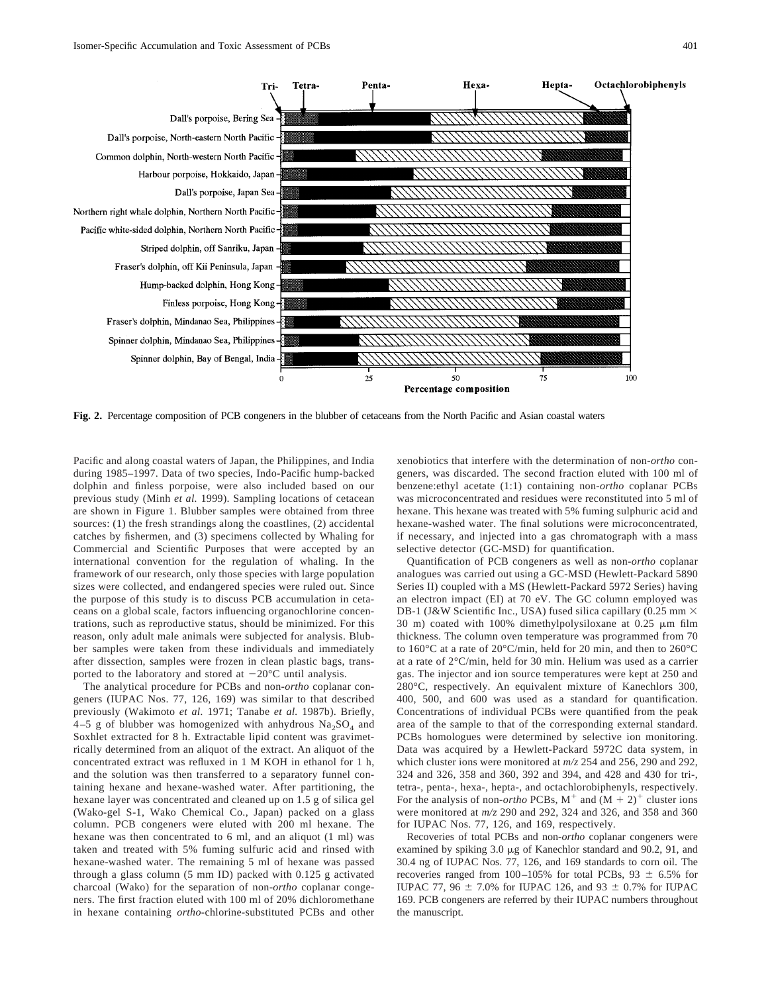

**Fig. 2.** Percentage composition of PCB congeners in the blubber of cetaceans from the North Pacific and Asian coastal waters

Pacific and along coastal waters of Japan, the Philippines, and India during 1985–1997. Data of two species, Indo-Pacific hump-backed dolphin and finless porpoise, were also included based on our previous study (Minh *et al.* 1999). Sampling locations of cetacean are shown in Figure 1. Blubber samples were obtained from three sources: (1) the fresh strandings along the coastlines, (2) accidental catches by fishermen, and (3) specimens collected by Whaling for Commercial and Scientific Purposes that were accepted by an international convention for the regulation of whaling. In the framework of our research, only those species with large population sizes were collected, and endangered species were ruled out. Since the purpose of this study is to discuss PCB accumulation in cetaceans on a global scale, factors influencing organochlorine concentrations, such as reproductive status, should be minimized. For this reason, only adult male animals were subjected for analysis. Blubber samples were taken from these individuals and immediately after dissection, samples were frozen in clean plastic bags, transported to the laboratory and stored at  $-20^{\circ}$ C until analysis.

The analytical procedure for PCBs and non-*ortho* coplanar congeners (IUPAC Nos. 77, 126, 169) was similar to that described previously (Wakimoto *et al.* 1971; Tanabe *et al.* 1987b). Briefly, 4–5 g of blubber was homogenized with anhydrous  $Na<sub>2</sub>SO<sub>4</sub>$  and Soxhlet extracted for 8 h. Extractable lipid content was gravimetrically determined from an aliquot of the extract. An aliquot of the concentrated extract was refluxed in 1 M KOH in ethanol for 1 h, and the solution was then transferred to a separatory funnel containing hexane and hexane-washed water. After partitioning, the hexane layer was concentrated and cleaned up on 1.5 g of silica gel (Wako-gel S-1, Wako Chemical Co., Japan) packed on a glass column. PCB congeners were eluted with 200 ml hexane. The hexane was then concentrated to 6 ml, and an aliquot (1 ml) was taken and treated with 5% fuming sulfuric acid and rinsed with hexane-washed water. The remaining 5 ml of hexane was passed through a glass column (5 mm ID) packed with 0.125 g activated charcoal (Wako) for the separation of non-*ortho* coplanar congeners. The first fraction eluted with 100 ml of 20% dichloromethane in hexane containing *ortho*-chlorine-substituted PCBs and other xenobiotics that interfere with the determination of non-*ortho* congeners, was discarded. The second fraction eluted with 100 ml of benzene:ethyl acetate (1:1) containing non-*ortho* coplanar PCBs was microconcentrated and residues were reconstituted into 5 ml of hexane. This hexane was treated with 5% fuming sulphuric acid and hexane-washed water. The final solutions were microconcentrated, if necessary, and injected into a gas chromatograph with a mass selective detector (GC-MSD) for quantification.

Quantification of PCB congeners as well as non-*ortho* coplanar analogues was carried out using a GC-MSD (Hewlett-Packard 5890 Series II) coupled with a MS (Hewlett-Packard 5972 Series) having an electron impact (EI) at 70 eV. The GC column employed was DB-1 (J&W Scientific Inc., USA) fused silica capillary (0.25 mm  $\times$ 30 m) coated with 100% dimethylpolysiloxane at 0.25  $\mu$ m film thickness. The column oven temperature was programmed from 70 to 160°C at a rate of 20°C/min, held for 20 min, and then to 260°C at a rate of 2°C/min, held for 30 min. Helium was used as a carrier gas. The injector and ion source temperatures were kept at 250 and 280°C, respectively. An equivalent mixture of Kanechlors 300, 400, 500, and 600 was used as a standard for quantification. Concentrations of individual PCBs were quantified from the peak area of the sample to that of the corresponding external standard. PCBs homologues were determined by selective ion monitoring. Data was acquired by a Hewlett-Packard 5972C data system, in which cluster ions were monitored at *m/z* 254 and 256, 290 and 292, 324 and 326, 358 and 360, 392 and 394, and 428 and 430 for tri-, tetra-, penta-, hexa-, hepta-, and octachlorobiphenyls, respectively. For the analysis of non-*ortho* PCBs,  $M^+$  and  $(M + 2)^+$  cluster ions were monitored at *m/z* 290 and 292, 324 and 326, and 358 and 360 for IUPAC Nos. 77, 126, and 169, respectively.

Recoveries of total PCBs and non-*ortho* coplanar congeners were examined by spiking  $3.0 \mu$ g of Kanechlor standard and  $90.2$ ,  $91$ , and 30.4 ng of IUPAC Nos. 77, 126, and 169 standards to corn oil. The recoveries ranged from 100-105% for total PCBs, 93  $\pm$  6.5% for IUPAC 77, 96  $\pm$  7.0% for IUPAC 126, and 93  $\pm$  0.7% for IUPAC 169. PCB congeners are referred by their IUPAC numbers throughout the manuscript.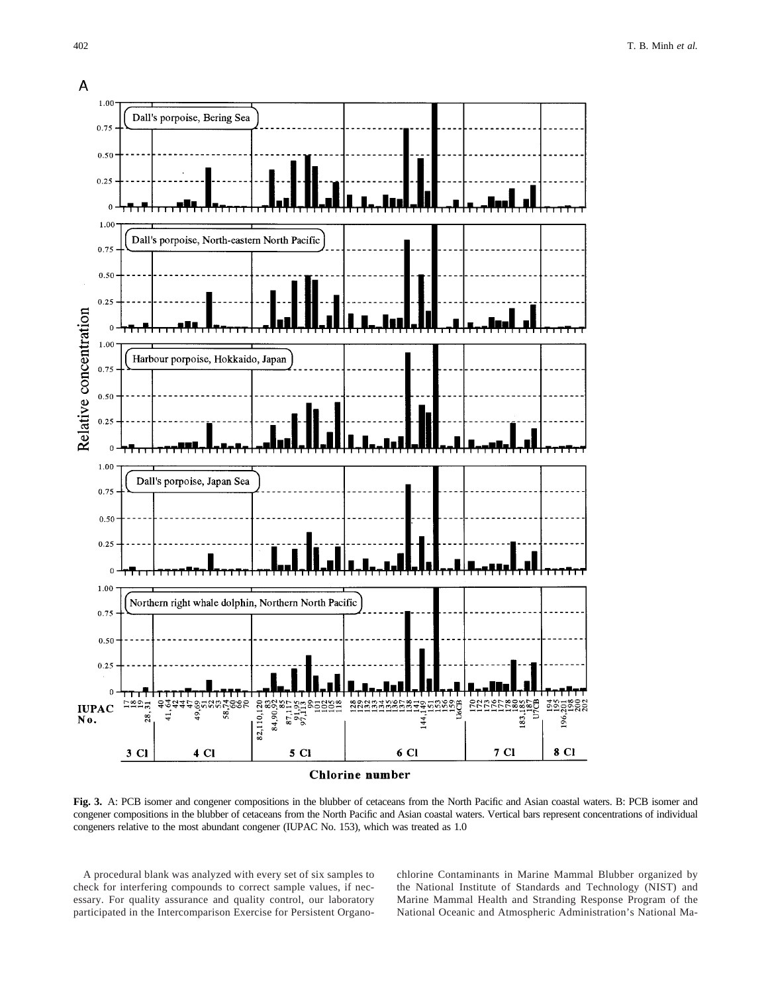

**Fig. 3.** A: PCB isomer and congener compositions in the blubber of cetaceans from the North Pacific and Asian coastal waters. B: PCB isomer and congener compositions in the blubber of cetaceans from the North Pacific and Asian coastal waters. Vertical bars represent concentrations of individual congeners relative to the most abundant congener (IUPAC No. 153), which was treated as 1.0

A procedural blank was analyzed with every set of six samples to check for interfering compounds to correct sample values, if necessary. For quality assurance and quality control, our laboratory participated in the Intercomparison Exercise for Persistent Organochlorine Contaminants in Marine Mammal Blubber organized by the National Institute of Standards and Technology (NIST) and Marine Mammal Health and Stranding Response Program of the National Oceanic and Atmospheric Administration's National Ma-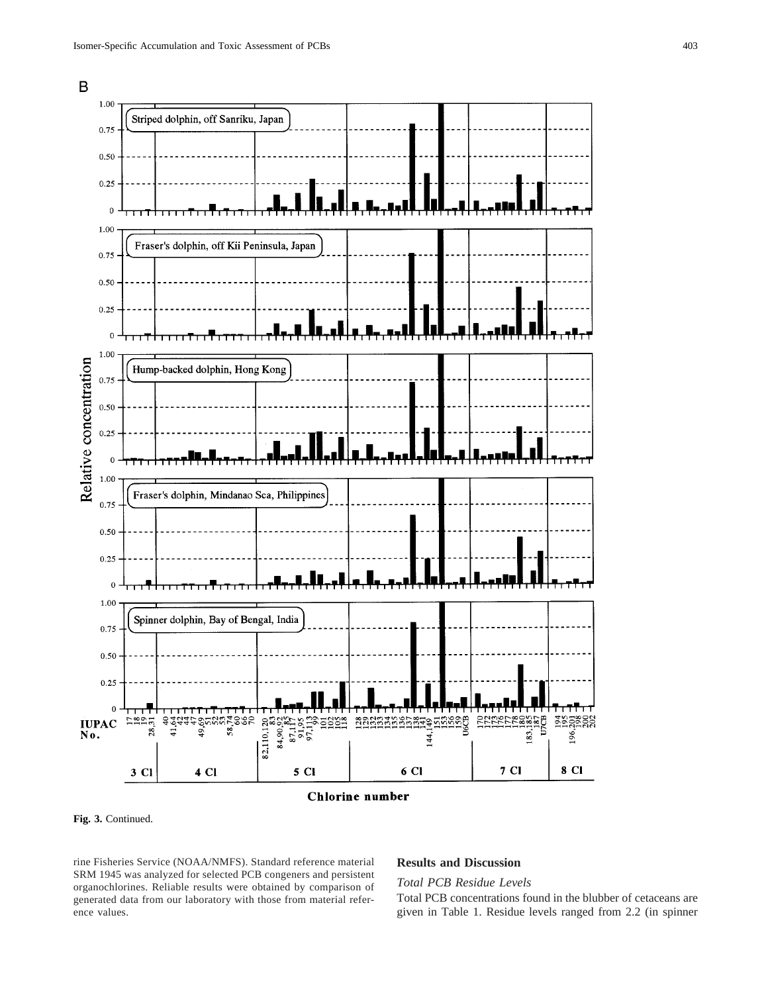

**Fig. 3.** Continued.

rine Fisheries Service (NOAA/NMFS). Standard reference material SRM 1945 was analyzed for selected PCB congeners and persistent organochlorines. Reliable results were obtained by comparison of generated data from our laboratory with those from material reference values.

## **Results and Discussion**

*Total PCB Residue Levels*

Total PCB concentrations found in the blubber of cetaceans are given in Table 1. Residue levels ranged from 2.2 (in spinner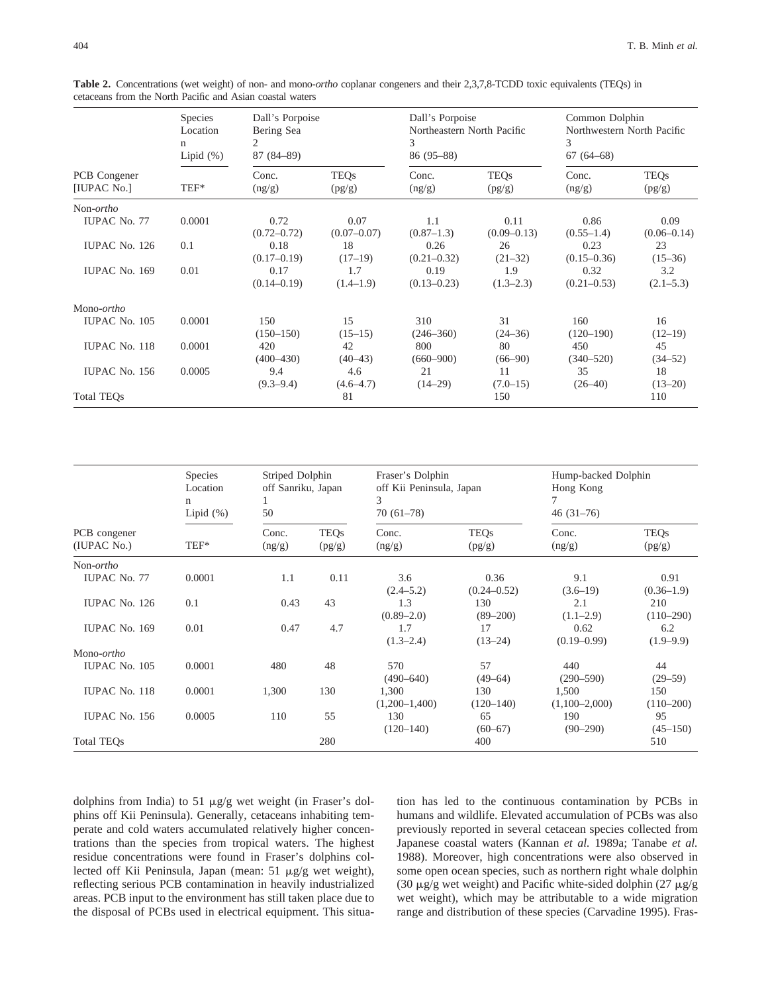|                             | <b>Species</b><br>Location<br>n<br>Lipid $(\%)$ | Dall's Porpoise<br>Bering Sea<br>2<br>$87(84 - 89)$ |                         | Dall's Porpoise<br>Northeastern North Pacific<br>3<br>$86(95-88)$ |                         | Common Dolphin<br>Northwestern North Pacific<br>3<br>$67(64-68)$ |                         |
|-----------------------------|-------------------------------------------------|-----------------------------------------------------|-------------------------|-------------------------------------------------------------------|-------------------------|------------------------------------------------------------------|-------------------------|
| PCB Congener<br>[IUPAC No.] | TEF*                                            | Conc.<br>(ng/g)                                     | <b>TEOs</b><br>(pg/g)   | Conc.<br>(ng/g)                                                   | <b>TEQs</b><br>(pg/g)   | Conc.<br>(ng/g)                                                  | <b>TEQs</b><br>(pg/g)   |
| Non- <i>ortho</i>           |                                                 |                                                     |                         |                                                                   |                         |                                                                  |                         |
| <b>IUPAC No. 77</b>         | 0.0001                                          | 0.72<br>$(0.72 - 0.72)$                             | 0.07<br>$(0.07 - 0.07)$ | 1.1<br>$(0.87-1.3)$                                               | 0.11<br>$(0.09 - 0.13)$ | 0.86<br>$(0.55-1.4)$                                             | 0.09<br>$(0.06 - 0.14)$ |
| IUPAC No. 126               | 0.1                                             | 0.18<br>$(0.17-0.19)$                               | 18<br>$(17-19)$         | 0.26<br>$(0.21 - 0.32)$                                           | 26<br>$(21-32)$         | 0.23<br>$(0.15 - 0.36)$                                          | 23<br>$(15-36)$         |
| IUPAC No. 169               | 0.01                                            | 0.17<br>$(0.14 - 0.19)$                             | 1.7<br>$(1.4-1.9)$      | 0.19<br>$(0.13 - 0.23)$                                           | 1.9<br>$(1.3-2.3)$      | 0.32<br>$(0.21 - 0.53)$                                          | 3.2<br>$(2.1 - 5.3)$    |
| Mono- <i>ortho</i>          |                                                 |                                                     |                         |                                                                   |                         |                                                                  |                         |
| IUPAC No. 105               | 0.0001                                          | 150<br>$(150 - 150)$                                | 15<br>$(15-15)$         | 310<br>$(246 - 360)$                                              | 31<br>$(24 - 36)$       | 160<br>$(120-190)$                                               | 16<br>$(12-19)$         |
| IUPAC No. 118               | 0.0001                                          | 420<br>$(400 - 430)$                                | 42<br>$(40-43)$         | 800<br>$(660 - 900)$                                              | 80<br>$(66 - 90)$       | 450<br>$(340 - 520)$                                             | 45<br>$(34 - 52)$       |
| IUPAC No. 156               | 0.0005                                          | 9.4<br>$(9.3 - 9.4)$                                | 4.6<br>$(4.6 - 4.7)$    | 21<br>$(14-29)$                                                   | 11<br>$(7.0 - 15)$      | 35<br>$(26-40)$                                                  | 18<br>$(13-20)$         |
| <b>Total TEOs</b>           |                                                 |                                                     | 81                      |                                                                   | 150                     |                                                                  | 110                     |

**Table 2.** Concentrations (wet weight) of non- and mono-*ortho* coplanar congeners and their 2,3,7,8-TCDD toxic equivalents (TEQs) in cetaceans from the North Pacific and Asian coastal waters

|                             | <b>Species</b><br>Location<br>n<br>Lipid $(\%)$ | Striped Dolphin<br>off Sanriku, Japan<br>50 |                       | Fraser's Dolphin<br>off Kii Peninsula, Japan<br>3<br>$70(61-78)$ |                         | Hump-backed Dolphin<br>Hong Kong<br>$46(31-76)$ |                       |
|-----------------------------|-------------------------------------------------|---------------------------------------------|-----------------------|------------------------------------------------------------------|-------------------------|-------------------------------------------------|-----------------------|
| PCB congener<br>(IUPAC No.) | TEF*                                            | Conc.<br>(ng/g)                             | <b>TEQs</b><br>(pg/g) | Conc.<br>(ng/g)                                                  | <b>TEQs</b><br>(pg/g)   | Conc.<br>(ng/g)                                 | <b>TEQs</b><br>(pg/g) |
| Non- <i>ortho</i>           |                                                 |                                             |                       |                                                                  |                         |                                                 |                       |
| <b>IUPAC No. 77</b>         | 0.0001                                          | 1.1                                         | 0.11                  | 3.6<br>$(2.4 - 5.2)$                                             | 0.36<br>$(0.24 - 0.52)$ | 9.1<br>$(3.6-19)$                               | 0.91<br>$(0.36-1.9)$  |
| <b>IUPAC No. 126</b>        | 0.1                                             | 0.43                                        | 43                    | 1.3<br>$(0.89 - 2.0)$                                            | 130<br>$(89 - 200)$     | 2.1<br>$(1.1-2.9)$                              | 210<br>$(110-290)$    |
| IUPAC No. 169               | 0.01                                            | 0.47                                        | 4.7                   | 1.7<br>$(1.3 - 2.4)$                                             | 17<br>$(13-24)$         | 0.62<br>$(0.19 - 0.99)$                         | 6.2<br>$(1.9 - 9.9)$  |
| Mono- <i>ortho</i>          |                                                 |                                             |                       |                                                                  |                         |                                                 |                       |
| IUPAC No. 105               | 0.0001                                          | 480                                         | 48                    | 570<br>$(490 - 640)$                                             | 57<br>$(49 - 64)$       | 440<br>$(290 - 590)$                            | 44<br>$(29 - 59)$     |
| IUPAC No. 118               | 0.0001                                          | 1,300                                       | 130                   | 1,300<br>$(1,200-1,400)$                                         | 130<br>$(120-140)$      | 1,500<br>$(1,100-2,000)$                        | 150<br>$(110 - 200)$  |
| IUPAC No. 156               | 0.0005                                          | 110                                         | 55                    | 130<br>$(120-140)$                                               | 65<br>$(60 - 67)$       | 190<br>$(90 - 290)$                             | 95<br>$(45 - 150)$    |
| Total TEOs                  |                                                 |                                             | 280                   |                                                                  | 400                     |                                                 | 510                   |

dolphins from India) to 51  $\mu$ g/g wet weight (in Fraser's dolphins off Kii Peninsula). Generally, cetaceans inhabiting temperate and cold waters accumulated relatively higher concentrations than the species from tropical waters. The highest residue concentrations were found in Fraser's dolphins collected off Kii Peninsula, Japan (mean: 51 µg/g wet weight), reflecting serious PCB contamination in heavily industrialized areas. PCB input to the environment has still taken place due to the disposal of PCBs used in electrical equipment. This situation has led to the continuous contamination by PCBs in humans and wildlife. Elevated accumulation of PCBs was also previously reported in several cetacean species collected from Japanese coastal waters (Kannan *et al.* 1989a; Tanabe *et al.* 1988). Moreover, high concentrations were also observed in some open ocean species, such as northern right whale dolphin (30  $\mu$ g/g wet weight) and Pacific white-sided dolphin (27  $\mu$ g/g wet weight), which may be attributable to a wide migration range and distribution of these species (Carvadine 1995). Fras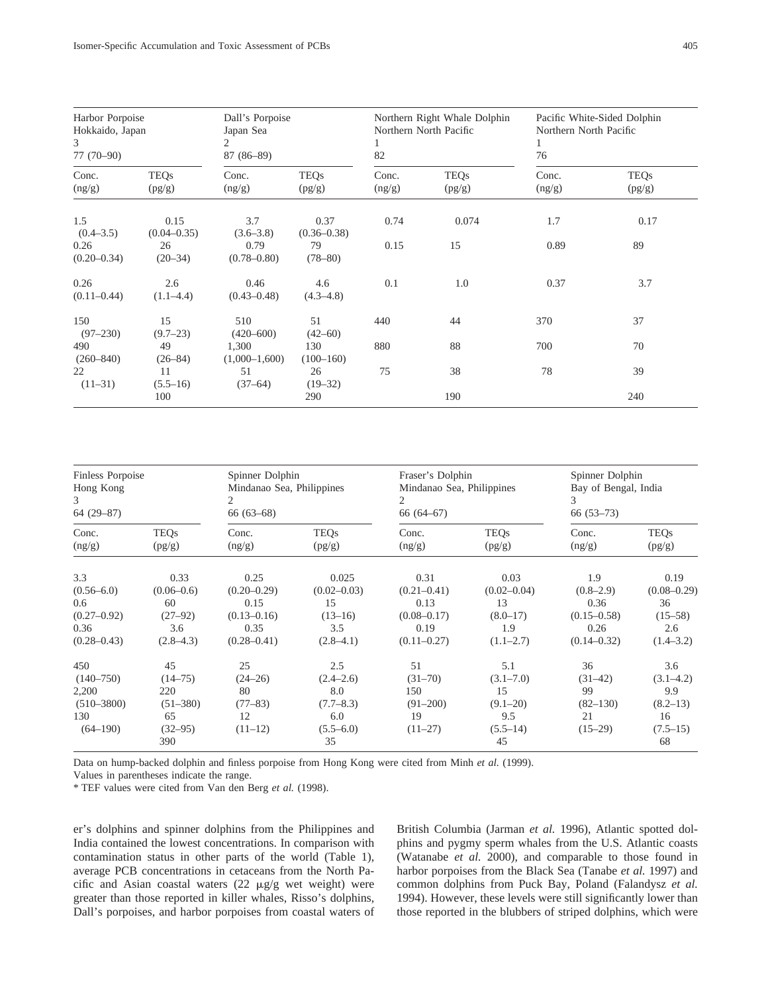Dall's Porpoise Japan Sea

Harbor Porpoise Hokkaido, Japan

3

|             |        | Northern Right Whale Dolphin |                        | Pacific White-Sided Dolphin |
|-------------|--------|------------------------------|------------------------|-----------------------------|
|             |        | Northern North Pacific       | Northern North Pacific |                             |
|             |        |                              |                        |                             |
|             | 82     |                              | 76                     |                             |
| <b>TEQs</b> | Conc.  | <b>TEOs</b>                  | Conc.                  | <b>TEOs</b>                 |
| (pg/g)      | (ng/g) | (pg/g)                       | (ng/g)                 | (pg/g)                      |

| 3<br>77 (70-90)         |                         | 2<br>$87(86-89)$         |                         | 82              |                       | 76              |                       |
|-------------------------|-------------------------|--------------------------|-------------------------|-----------------|-----------------------|-----------------|-----------------------|
| Conc.<br>(ng/g)         | <b>TEQs</b><br>(pg/g)   | Conc.<br>(ng/g)          | <b>TEQs</b><br>(pg/g)   | Conc.<br>(ng/g) | <b>TEQs</b><br>(pg/g) | Conc.<br>(ng/g) | <b>TEQs</b><br>(pg/g) |
| 1.5<br>$(0.4 - 3.5)$    | 0.15<br>$(0.04 - 0.35)$ | 3.7<br>$(3.6 - 3.8)$     | 0.37<br>$(0.36 - 0.38)$ | 0.74            | 0.074                 | 1.7             | 0.17                  |
| 0.26<br>$(0.20 - 0.34)$ | 26<br>$(20-34)$         | 0.79<br>$(0.78 - 0.80)$  | 79<br>$(78 - 80)$       | 0.15            | 15                    | 0.89            | 89                    |
| 0.26<br>$(0.11 - 0.44)$ | 2.6<br>$(1.1-4.4)$      | 0.46<br>$(0.43 - 0.48)$  | 4.6<br>$(4.3 - 4.8)$    | 0.1             | 1.0                   | 0.37            | 3.7                   |
| 150<br>$(97 - 230)$     | 15<br>$(9.7-23)$        | 510<br>$(420 - 600)$     | 51<br>$(42 - 60)$       | 440             | 44                    | 370             | 37                    |
| 490<br>$(260 - 840)$    | 49<br>$(26 - 84)$       | 1,300<br>$(1,000-1,600)$ | 130<br>$(100-160)$      | 880             | 88                    | 700             | 70                    |
| 22<br>$(11-31)$         | 11<br>$(5.5-16)$        | 51<br>$(37-64)$          | 26<br>$(19-32)$         | 75              | 38                    | 78              | 39                    |
|                         | 100                     |                          | 290                     |                 | 190                   |                 | 240                   |

| Finless Porpoise<br>Hong Kong<br>3<br>$64(29-87)$                      |                                                                    | Spinner Dolphin<br>Mindanao Sea, Philippines<br>2<br>$66(63-68)$ |                                                                            | Fraser's Dolphin<br>Mindanao Sea, Philippines<br>2<br>$66(64-67)$ |                                                                       | Spinner Dolphin<br>Bay of Bengal, India<br>3<br>$66(53-73)$ |                                                                       |
|------------------------------------------------------------------------|--------------------------------------------------------------------|------------------------------------------------------------------|----------------------------------------------------------------------------|-------------------------------------------------------------------|-----------------------------------------------------------------------|-------------------------------------------------------------|-----------------------------------------------------------------------|
| Conc.                                                                  | <b>TEOs</b>                                                        | Conc.                                                            | <b>TEOs</b>                                                                | Conc.                                                             | <b>TEQs</b>                                                           | Conc.                                                       | <b>TEOs</b>                                                           |
| (ng/g)                                                                 | (pg/g)                                                             | (ng/g)                                                           | (pg/g)                                                                     | (ng/g)                                                            | (pg/g)                                                                | (ng/g)                                                      | (pg/g)                                                                |
| 3.3                                                                    | 0.33                                                               | 0.25                                                             | 0.025                                                                      | 0.31                                                              | 0.03                                                                  | 1.9                                                         | 0.19                                                                  |
| $(0.56 - 6.0)$                                                         | $(0.06 - 0.6)$                                                     | $(0.20 - 0.29)$                                                  | $(0.02 - 0.03)$                                                            | $(0.21 - 0.41)$                                                   | $(0.02 - 0.04)$                                                       | $(0.8-2.9)$                                                 | $(0.08 - 0.29)$                                                       |
| 0.6                                                                    | 60                                                                 | 0.15                                                             | 15                                                                         | 0.13                                                              | 13                                                                    | 0.36                                                        | 36                                                                    |
| $(0.27 - 0.92)$                                                        | $(27-92)$                                                          | $(0.13 - 0.16)$                                                  | $(13-16)$                                                                  | $(0.08 - 0.17)$                                                   | $(8.0 - 17)$                                                          | $(0.15 - 0.58)$                                             | $(15-58)$                                                             |
| 0.36                                                                   | 3.6                                                                | 0.35                                                             | 3.5                                                                        | 0.19                                                              | 1.9                                                                   | 0.26                                                        | 2.6                                                                   |
| $(0.28 - 0.43)$                                                        | $(2.8-4.3)$                                                        | $(0.28 - 0.41)$                                                  | $(2.8-4.1)$                                                                | $(0.11 - 0.27)$                                                   | $(1.1 - 2.7)$                                                         | $(0.14 - 0.32)$                                             | $(1.4 - 3.2)$                                                         |
| 450<br>$(140 - 750)$<br>2,200<br>$(510 - 3800)$<br>130<br>$(64 - 190)$ | 45<br>$(14-75)$<br>220<br>$(51 - 380)$<br>65<br>$(32 - 95)$<br>390 | 25<br>$(24 - 26)$<br>80<br>$(77 - 83)$<br>12<br>$(11-12)$        | 2.5<br>$(2.4 - 2.6)$<br>8.0<br>$(7.7 - 8.3)$<br>6.0<br>$(5.5 - 6.0)$<br>35 | 51<br>$(31-70)$<br>150<br>$(91 - 200)$<br>19<br>$(11-27)$         | 5.1<br>$(3.1 - 7.0)$<br>15<br>$(9.1 - 20)$<br>9.5<br>$(5.5-14)$<br>45 | 36<br>$(31-42)$<br>99<br>$(82 - 130)$<br>21<br>$(15-29)$    | 3.6<br>$(3.1 - 4.2)$<br>9.9<br>$(8.2 - 13)$<br>16<br>$(7.5-15)$<br>68 |

Data on hump-backed dolphin and finless porpoise from Hong Kong were cited from Minh *et al.* (1999).

Values in parentheses indicate the range.

\* TEF values were cited from Van den Berg *et al.* (1998).

er's dolphins and spinner dolphins from the Philippines and India contained the lowest concentrations. In comparison with contamination status in other parts of the world (Table 1), average PCB concentrations in cetaceans from the North Pacific and Asian coastal waters  $(22 \mu g/g \text{ wet weight})$  were greater than those reported in killer whales, Risso's dolphins, Dall's porpoises, and harbor porpoises from coastal waters of British Columbia (Jarman *et al.* 1996), Atlantic spotted dolphins and pygmy sperm whales from the U.S. Atlantic coasts (Watanabe *et al.* 2000), and comparable to those found in harbor porpoises from the Black Sea (Tanabe *et al.* 1997) and common dolphins from Puck Bay, Poland (Falandysz *et al.* 1994). However, these levels were still significantly lower than those reported in the blubbers of striped dolphins, which were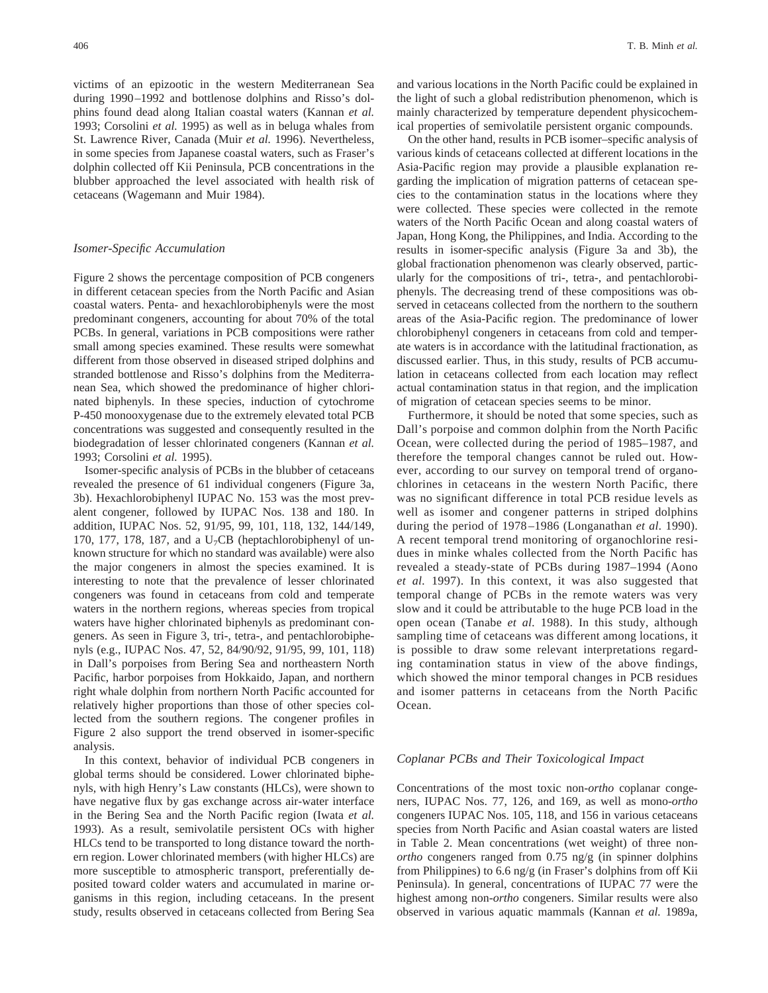victims of an epizootic in the western Mediterranean Sea during 1990–1992 and bottlenose dolphins and Risso's dolphins found dead along Italian coastal waters (Kannan *et al.* 1993; Corsolini *et al.* 1995) as well as in beluga whales from St. Lawrence River, Canada (Muir *et al.* 1996). Nevertheless, in some species from Japanese coastal waters, such as Fraser's dolphin collected off Kii Peninsula, PCB concentrations in the blubber approached the level associated with health risk of cetaceans (Wagemann and Muir 1984).

### *Isomer-Specific Accumulation*

Figure 2 shows the percentage composition of PCB congeners in different cetacean species from the North Pacific and Asian coastal waters. Penta- and hexachlorobiphenyls were the most predominant congeners, accounting for about 70% of the total PCBs. In general, variations in PCB compositions were rather small among species examined. These results were somewhat different from those observed in diseased striped dolphins and stranded bottlenose and Risso's dolphins from the Mediterranean Sea, which showed the predominance of higher chlorinated biphenyls. In these species, induction of cytochrome P-450 monooxygenase due to the extremely elevated total PCB concentrations was suggested and consequently resulted in the biodegradation of lesser chlorinated congeners (Kannan *et al.* 1993; Corsolini *et al.* 1995).

Isomer-specific analysis of PCBs in the blubber of cetaceans revealed the presence of 61 individual congeners (Figure 3a, 3b). Hexachlorobiphenyl IUPAC No. 153 was the most prevalent congener, followed by IUPAC Nos. 138 and 180. In addition, IUPAC Nos. 52, 91/95, 99, 101, 118, 132, 144/149, 170, 177, 178, 187, and a  $U_7CB$  (heptachlorobiphenyl of unknown structure for which no standard was available) were also the major congeners in almost the species examined. It is interesting to note that the prevalence of lesser chlorinated congeners was found in cetaceans from cold and temperate waters in the northern regions, whereas species from tropical waters have higher chlorinated biphenyls as predominant congeners. As seen in Figure 3, tri-, tetra-, and pentachlorobiphenyls (e.g., IUPAC Nos. 47, 52, 84/90/92, 91/95, 99, 101, 118) in Dall's porpoises from Bering Sea and northeastern North Pacific, harbor porpoises from Hokkaido, Japan, and northern right whale dolphin from northern North Pacific accounted for relatively higher proportions than those of other species collected from the southern regions. The congener profiles in Figure 2 also support the trend observed in isomer-specific analysis.

In this context, behavior of individual PCB congeners in global terms should be considered. Lower chlorinated biphenyls, with high Henry's Law constants (HLCs), were shown to have negative flux by gas exchange across air-water interface in the Bering Sea and the North Pacific region (Iwata *et al.* 1993). As a result, semivolatile persistent OCs with higher HLCs tend to be transported to long distance toward the northern region. Lower chlorinated members (with higher HLCs) are more susceptible to atmospheric transport, preferentially deposited toward colder waters and accumulated in marine organisms in this region, including cetaceans. In the present study, results observed in cetaceans collected from Bering Sea

and various locations in the North Pacific could be explained in the light of such a global redistribution phenomenon, which is mainly characterized by temperature dependent physicochemical properties of semivolatile persistent organic compounds.

On the other hand, results in PCB isomer–specific analysis of various kinds of cetaceans collected at different locations in the Asia-Pacific region may provide a plausible explanation regarding the implication of migration patterns of cetacean species to the contamination status in the locations where they were collected. These species were collected in the remote waters of the North Pacific Ocean and along coastal waters of Japan, Hong Kong, the Philippines, and India. According to the results in isomer-specific analysis (Figure 3a and 3b), the global fractionation phenomenon was clearly observed, particularly for the compositions of tri-, tetra-, and pentachlorobiphenyls. The decreasing trend of these compositions was observed in cetaceans collected from the northern to the southern areas of the Asia-Pacific region. The predominance of lower chlorobiphenyl congeners in cetaceans from cold and temperate waters is in accordance with the latitudinal fractionation, as discussed earlier. Thus, in this study, results of PCB accumulation in cetaceans collected from each location may reflect actual contamination status in that region, and the implication of migration of cetacean species seems to be minor.

Furthermore, it should be noted that some species, such as Dall's porpoise and common dolphin from the North Pacific Ocean, were collected during the period of 1985–1987, and therefore the temporal changes cannot be ruled out. However, according to our survey on temporal trend of organochlorines in cetaceans in the western North Pacific, there was no significant difference in total PCB residue levels as well as isomer and congener patterns in striped dolphins during the period of 1978–1986 (Longanathan *et al.* 1990). A recent temporal trend monitoring of organochlorine residues in minke whales collected from the North Pacific has revealed a steady-state of PCBs during 1987–1994 (Aono *et al.* 1997). In this context, it was also suggested that temporal change of PCBs in the remote waters was very slow and it could be attributable to the huge PCB load in the open ocean (Tanabe *et al.* 1988). In this study, although sampling time of cetaceans was different among locations, it is possible to draw some relevant interpretations regarding contamination status in view of the above findings, which showed the minor temporal changes in PCB residues and isomer patterns in cetaceans from the North Pacific Ocean.

## *Coplanar PCBs and Their Toxicological Impact*

Concentrations of the most toxic non-*ortho* coplanar congeners, IUPAC Nos. 77, 126, and 169, as well as mono-*ortho* congeners IUPAC Nos. 105, 118, and 156 in various cetaceans species from North Pacific and Asian coastal waters are listed in Table 2. Mean concentrations (wet weight) of three non*ortho* congeners ranged from 0.75 ng/g (in spinner dolphins from Philippines) to 6.6 ng/g (in Fraser's dolphins from off Kii Peninsula). In general, concentrations of IUPAC 77 were the highest among non-*ortho* congeners. Similar results were also observed in various aquatic mammals (Kannan *et al.* 1989a,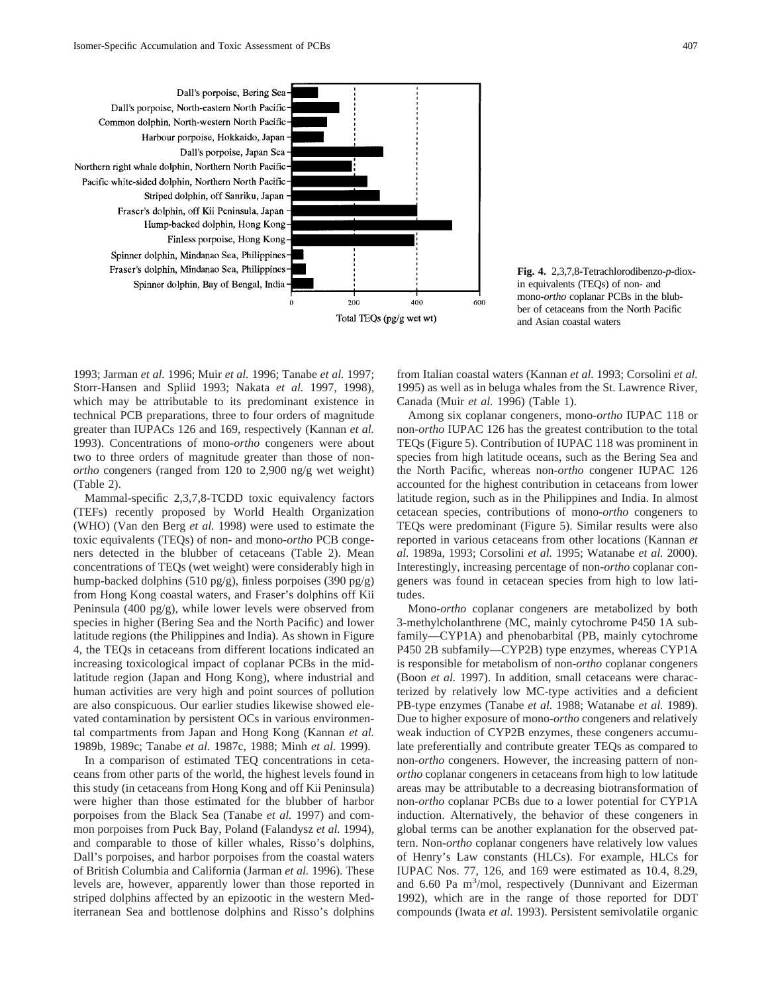

**Fig. 4.** 2,3,7,8-Tetrachlorodibenzo-*p*-dioxin equivalents (TEQs) of non- and mono-*ortho* coplanar PCBs in the blubber of cetaceans from the North Pacific and Asian coastal waters

1993; Jarman *et al.* 1996; Muir *et al.* 1996; Tanabe *et al.* 1997; Storr-Hansen and Spliid 1993; Nakata *et al.* 1997, 1998), which may be attributable to its predominant existence in technical PCB preparations, three to four orders of magnitude greater than IUPACs 126 and 169, respectively (Kannan *et al.* 1993). Concentrations of mono-*ortho* congeners were about two to three orders of magnitude greater than those of non*ortho* congeners (ranged from 120 to 2,900 ng/g wet weight) (Table 2).

Mammal-specific 2,3,7,8-TCDD toxic equivalency factors (TEFs) recently proposed by World Health Organization (WHO) (Van den Berg *et al.* 1998) were used to estimate the toxic equivalents (TEQs) of non- and mono-*ortho* PCB congeners detected in the blubber of cetaceans (Table 2). Mean concentrations of TEQs (wet weight) were considerably high in hump-backed dolphins (510 pg/g), finless porpoises (390 pg/g) from Hong Kong coastal waters, and Fraser's dolphins off Kii Peninsula (400 pg/g), while lower levels were observed from species in higher (Bering Sea and the North Pacific) and lower latitude regions (the Philippines and India). As shown in Figure 4, the TEQs in cetaceans from different locations indicated an increasing toxicological impact of coplanar PCBs in the midlatitude region (Japan and Hong Kong), where industrial and human activities are very high and point sources of pollution are also conspicuous. Our earlier studies likewise showed elevated contamination by persistent OCs in various environmental compartments from Japan and Hong Kong (Kannan *et al.* 1989b, 1989c; Tanabe *et al.* 1987c, 1988; Minh *et al.* 1999).

In a comparison of estimated TEQ concentrations in cetaceans from other parts of the world, the highest levels found in this study (in cetaceans from Hong Kong and off Kii Peninsula) were higher than those estimated for the blubber of harbor porpoises from the Black Sea (Tanabe *et al.* 1997) and common porpoises from Puck Bay, Poland (Falandysz *et al.* 1994), and comparable to those of killer whales, Risso's dolphins, Dall's porpoises, and harbor porpoises from the coastal waters of British Columbia and California (Jarman *et al.* 1996). These levels are, however, apparently lower than those reported in striped dolphins affected by an epizootic in the western Mediterranean Sea and bottlenose dolphins and Risso's dolphins from Italian coastal waters (Kannan *et al.* 1993; Corsolini *et al.* 1995) as well as in beluga whales from the St. Lawrence River, Canada (Muir *et al.* 1996) (Table 1).

Among six coplanar congeners, mono-*ortho* IUPAC 118 or non-*ortho* IUPAC 126 has the greatest contribution to the total TEQs (Figure 5). Contribution of IUPAC 118 was prominent in species from high latitude oceans, such as the Bering Sea and the North Pacific, whereas non-*ortho* congener IUPAC 126 accounted for the highest contribution in cetaceans from lower latitude region, such as in the Philippines and India. In almost cetacean species, contributions of mono-*ortho* congeners to TEQs were predominant (Figure 5). Similar results were also reported in various cetaceans from other locations (Kannan *et al.* 1989a, 1993; Corsolini *et al.* 1995; Watanabe *et al.* 2000). Interestingly, increasing percentage of non-*ortho* coplanar congeners was found in cetacean species from high to low latitudes.

Mono-*ortho* coplanar congeners are metabolized by both 3-methylcholanthrene (MC, mainly cytochrome P450 1A subfamily—CYP1A) and phenobarbital (PB, mainly cytochrome P450 2B subfamily—CYP2B) type enzymes, whereas CYP1A is responsible for metabolism of non-*ortho* coplanar congeners (Boon *et al.* 1997). In addition, small cetaceans were characterized by relatively low MC-type activities and a deficient PB-type enzymes (Tanabe *et al.* 1988; Watanabe *et al.* 1989). Due to higher exposure of mono-*ortho* congeners and relatively weak induction of CYP2B enzymes, these congeners accumulate preferentially and contribute greater TEQs as compared to non-*ortho* congeners. However, the increasing pattern of non*ortho* coplanar congeners in cetaceans from high to low latitude areas may be attributable to a decreasing biotransformation of non-*ortho* coplanar PCBs due to a lower potential for CYP1A induction. Alternatively, the behavior of these congeners in global terms can be another explanation for the observed pattern. Non-*ortho* coplanar congeners have relatively low values of Henry's Law constants (HLCs). For example, HLCs for IUPAC Nos. 77, 126, and 169 were estimated as 10.4, 8.29, and 6.60 Pa m<sup>3</sup>/mol, respectively (Dunnivant and Eizerman 1992), which are in the range of those reported for DDT compounds (Iwata *et al.* 1993). Persistent semivolatile organic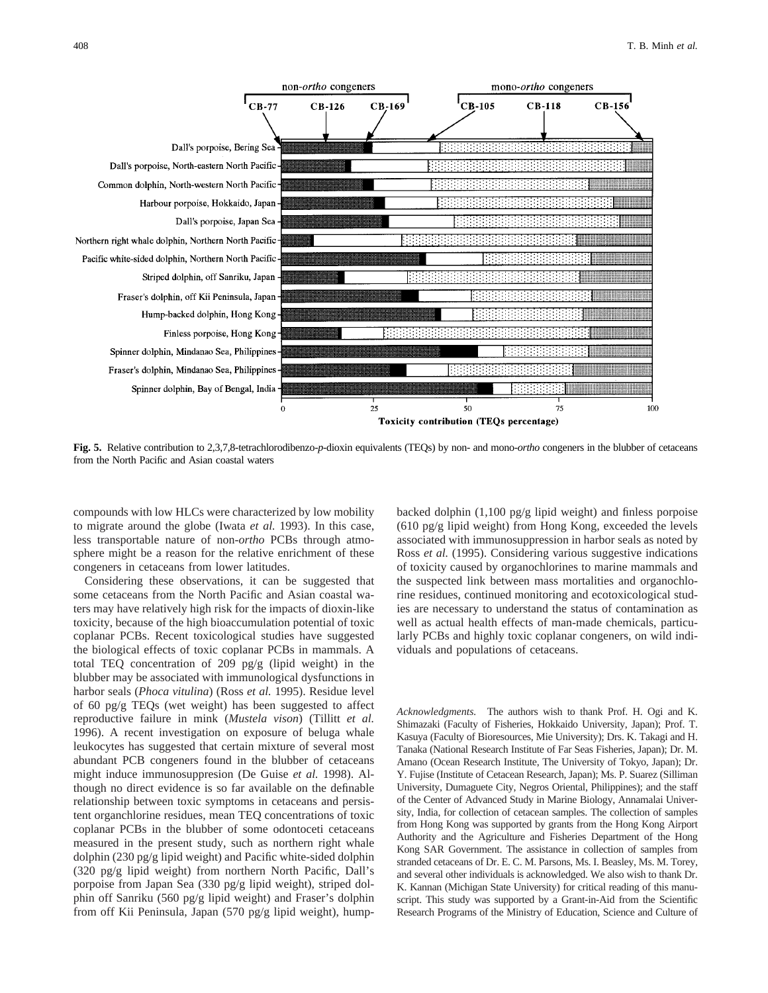

**Fig. 5.** Relative contribution to 2,3,7,8-tetrachlorodibenzo-*p*-dioxin equivalents (TEQs) by non- and mono-*ortho* congeners in the blubber of cetaceans from the North Pacific and Asian coastal waters

compounds with low HLCs were characterized by low mobility to migrate around the globe (Iwata *et al.* 1993). In this case, less transportable nature of non-*ortho* PCBs through atmosphere might be a reason for the relative enrichment of these congeners in cetaceans from lower latitudes.

Considering these observations, it can be suggested that some cetaceans from the North Pacific and Asian coastal waters may have relatively high risk for the impacts of dioxin-like toxicity, because of the high bioaccumulation potential of toxic coplanar PCBs. Recent toxicological studies have suggested the biological effects of toxic coplanar PCBs in mammals. A total TEQ concentration of 209 pg/g (lipid weight) in the blubber may be associated with immunological dysfunctions in harbor seals (*Phoca vitulina*) (Ross *et al.* 1995). Residue level of 60 pg/g TEQs (wet weight) has been suggested to affect reproductive failure in mink (*Mustela vison*) (Tillitt *et al.* 1996). A recent investigation on exposure of beluga whale leukocytes has suggested that certain mixture of several most abundant PCB congeners found in the blubber of cetaceans might induce immunosuppresion (De Guise *et al.* 1998). Although no direct evidence is so far available on the definable relationship between toxic symptoms in cetaceans and persistent organchlorine residues, mean TEQ concentrations of toxic coplanar PCBs in the blubber of some odontoceti cetaceans measured in the present study, such as northern right whale dolphin (230 pg/g lipid weight) and Pacific white-sided dolphin (320 pg/g lipid weight) from northern North Pacific, Dall's porpoise from Japan Sea (330 pg/g lipid weight), striped dolphin off Sanriku (560 pg/g lipid weight) and Fraser's dolphin from off Kii Peninsula, Japan (570 pg/g lipid weight), hump-

backed dolphin (1,100 pg/g lipid weight) and finless porpoise (610 pg/g lipid weight) from Hong Kong, exceeded the levels associated with immunosuppression in harbor seals as noted by Ross *et al.* (1995). Considering various suggestive indications of toxicity caused by organochlorines to marine mammals and the suspected link between mass mortalities and organochlorine residues, continued monitoring and ecotoxicological studies are necessary to understand the status of contamination as well as actual health effects of man-made chemicals, particularly PCBs and highly toxic coplanar congeners, on wild individuals and populations of cetaceans.

*Acknowledgments.* The authors wish to thank Prof. H. Ogi and K. Shimazaki (Faculty of Fisheries, Hokkaido University, Japan); Prof. T. Kasuya (Faculty of Bioresources, Mie University); Drs. K. Takagi and H. Tanaka (National Research Institute of Far Seas Fisheries, Japan); Dr. M. Amano (Ocean Research Institute, The University of Tokyo, Japan); Dr. Y. Fujise (Institute of Cetacean Research, Japan); Ms. P. Suarez (Silliman University, Dumaguete City, Negros Oriental, Philippines); and the staff of the Center of Advanced Study in Marine Biology, Annamalai University, India, for collection of cetacean samples. The collection of samples from Hong Kong was supported by grants from the Hong Kong Airport Authority and the Agriculture and Fisheries Department of the Hong Kong SAR Government. The assistance in collection of samples from stranded cetaceans of Dr. E. C. M. Parsons, Ms. I. Beasley, Ms. M. Torey, and several other individuals is acknowledged. We also wish to thank Dr. K. Kannan (Michigan State University) for critical reading of this manuscript. This study was supported by a Grant-in-Aid from the Scientific Research Programs of the Ministry of Education, Science and Culture of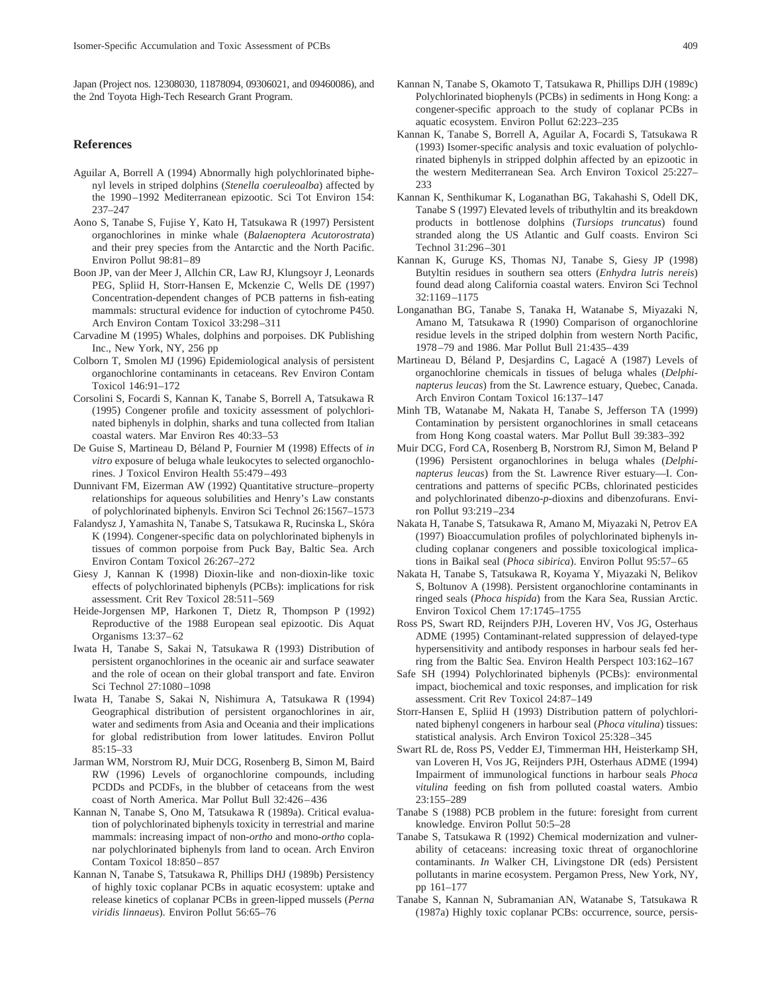Japan (Project nos. 12308030, 11878094, 09306021, and 09460086), and the 2nd Toyota High-Tech Research Grant Program.

#### **References**

- Aguilar A, Borrell A (1994) Abnormally high polychlorinated biphenyl levels in striped dolphins (*Stenella coeruleoalba*) affected by the 1990–1992 Mediterranean epizootic. Sci Tot Environ 154: 237–247
- Aono S, Tanabe S, Fujise Y, Kato H, Tatsukawa R (1997) Persistent organochlorines in minke whale (*Balaenoptera Acutorostrata*) and their prey species from the Antarctic and the North Pacific. Environ Pollut 98:81–89
- Boon JP, van der Meer J, Allchin CR, Law RJ, Klungsoyr J, Leonards PEG, Spliid H, Storr-Hansen E, Mckenzie C, Wells DE (1997) Concentration-dependent changes of PCB patterns in fish-eating mammals: structural evidence for induction of cytochrome P450. Arch Environ Contam Toxicol 33:298–311
- Carvadine M (1995) Whales, dolphins and porpoises. DK Publishing Inc., New York, NY, 256 pp
- Colborn T, Smolen MJ (1996) Epidemiological analysis of persistent organochlorine contaminants in cetaceans. Rev Environ Contam Toxicol 146:91–172
- Corsolini S, Focardi S, Kannan K, Tanabe S, Borrell A, Tatsukawa R (1995) Congener profile and toxicity assessment of polychlorinated biphenyls in dolphin, sharks and tuna collected from Italian coastal waters. Mar Environ Res 40:33–53
- De Guise S, Martineau D, Béland P, Fournier M (1998) Effects of *in vitro* exposure of beluga whale leukocytes to selected organochlorines. J Toxicol Environ Health 55:479–493
- Dunnivant FM, Eizerman AW (1992) Quantitative structure–property relationships for aqueous solubilities and Henry's Law constants of polychlorinated biphenyls. Environ Sci Technol 26:1567–1573
- Falandysz J, Yamashita N, Tanabe S, Tatsukawa R, Rucinska L, Skóra K (1994). Congener-specific data on polychlorinated biphenyls in tissues of common porpoise from Puck Bay, Baltic Sea. Arch Environ Contam Toxicol 26:267–272
- Giesy J, Kannan K (1998) Dioxin-like and non-dioxin-like toxic effects of polychlorinated biphenyls (PCBs): implications for risk assessment. Crit Rev Toxicol 28:511–569
- Heide-Jorgensen MP, Harkonen T, Dietz R, Thompson P (1992) Reproductive of the 1988 European seal epizootic. Dis Aquat Organisms 13:37–62
- Iwata H, Tanabe S, Sakai N, Tatsukawa R (1993) Distribution of persistent organochlorines in the oceanic air and surface seawater and the role of ocean on their global transport and fate. Environ Sci Technol 27:1080–1098
- Iwata H, Tanabe S, Sakai N, Nishimura A, Tatsukawa R (1994) Geographical distribution of persistent organochlorines in air, water and sediments from Asia and Oceania and their implications for global redistribution from lower latitudes. Environ Pollut 85:15–33
- Jarman WM, Norstrom RJ, Muir DCG, Rosenberg B, Simon M, Baird RW (1996) Levels of organochlorine compounds, including PCDDs and PCDFs, in the blubber of cetaceans from the west coast of North America. Mar Pollut Bull 32:426–436
- Kannan N, Tanabe S, Ono M, Tatsukawa R (1989a). Critical evaluation of polychlorinated biphenyls toxicity in terrestrial and marine mammals: increasing impact of non-*ortho* and mono-*ortho* coplanar polychlorinated biphenyls from land to ocean. Arch Environ Contam Toxicol 18:850–857
- Kannan N, Tanabe S, Tatsukawa R, Phillips DHJ (1989b) Persistency of highly toxic coplanar PCBs in aquatic ecosystem: uptake and release kinetics of coplanar PCBs in green-lipped mussels (*Perna viridis linnaeus*). Environ Pollut 56:65–76
- Kannan N, Tanabe S, Okamoto T, Tatsukawa R, Phillips DJH (1989c) Polychlorinated biophenyls (PCBs) in sediments in Hong Kong: a congener-specific approach to the study of coplanar PCBs in aquatic ecosystem. Environ Pollut 62:223–235
- Kannan K, Tanabe S, Borrell A, Aguilar A, Focardi S, Tatsukawa R (1993) Isomer-specific analysis and toxic evaluation of polychlorinated biphenyls in stripped dolphin affected by an epizootic in the western Mediterranean Sea. Arch Environ Toxicol 25:227– 233
- Kannan K, Senthikumar K, Loganathan BG, Takahashi S, Odell DK, Tanabe S (1997) Elevated levels of tributhyltin and its breakdown products in bottlenose dolphins (*Tursiops truncatus*) found stranded along the US Atlantic and Gulf coasts. Environ Sci Technol 31:296–301
- Kannan K, Guruge KS, Thomas NJ, Tanabe S, Giesy JP (1998) Butyltin residues in southern sea otters (*Enhydra lutris nereis*) found dead along California coastal waters. Environ Sci Technol 32:1169–1175
- Longanathan BG, Tanabe S, Tanaka H, Watanabe S, Miyazaki N, Amano M, Tatsukawa R (1990) Comparison of organochlorine residue levels in the striped dolphin from western North Pacific, 1978–79 and 1986. Mar Pollut Bull 21:435–439
- Martineau D, Béland P, Desjardins C, Lagacé A (1987) Levels of organochlorine chemicals in tissues of beluga whales (*Delphinapterus leucas*) from the St. Lawrence estuary, Quebec, Canada. Arch Environ Contam Toxicol 16:137–147
- Minh TB, Watanabe M, Nakata H, Tanabe S, Jefferson TA (1999) Contamination by persistent organochlorines in small cetaceans from Hong Kong coastal waters. Mar Pollut Bull 39:383–392
- Muir DCG, Ford CA, Rosenberg B, Norstrom RJ, Simon M, Beland P (1996) Persistent organochlorines in beluga whales (*Delphinapterus leucas*) from the St. Lawrence River estuary—I. Concentrations and patterns of specific PCBs, chlorinated pesticides and polychlorinated dibenzo-*p*-dioxins and dibenzofurans. Environ Pollut 93:219–234
- Nakata H, Tanabe S, Tatsukawa R, Amano M, Miyazaki N, Petrov EA (1997) Bioaccumulation profiles of polychlorinated biphenyls including coplanar congeners and possible toxicological implications in Baikal seal (*Phoca sibirica*). Environ Pollut 95:57–65
- Nakata H, Tanabe S, Tatsukawa R, Koyama Y, Miyazaki N, Belikov S, Boltunov A (1998). Persistent organochlorine contaminants in ringed seals (*Phoca hispida*) from the Kara Sea, Russian Arctic. Environ Toxicol Chem 17:1745–1755
- Ross PS, Swart RD, Reijnders PJH, Loveren HV, Vos JG, Osterhaus ADME (1995) Contaminant-related suppression of delayed-type hypersensitivity and antibody responses in harbour seals fed herring from the Baltic Sea. Environ Health Perspect 103:162–167
- Safe SH (1994) Polychlorinated biphenyls (PCBs): environmental impact, biochemical and toxic responses, and implication for risk assessment. Crit Rev Toxicol 24:87–149
- Storr-Hansen E, Spliid H (1993) Distribution pattern of polychlorinated biphenyl congeners in harbour seal (*Phoca vitulina*) tissues: statistical analysis. Arch Environ Toxicol 25:328–345
- Swart RL de, Ross PS, Vedder EJ, Timmerman HH, Heisterkamp SH, van Loveren H, Vos JG, Reijnders PJH, Osterhaus ADME (1994) Impairment of immunological functions in harbour seals *Phoca vitulina* feeding on fish from polluted coastal waters. Ambio 23:155–289
- Tanabe S (1988) PCB problem in the future: foresight from current knowledge. Environ Pollut 50:5–28
- Tanabe S, Tatsukawa R (1992) Chemical modernization and vulnerability of cetaceans: increasing toxic threat of organochlorine contaminants. *In* Walker CH, Livingstone DR (eds) Persistent pollutants in marine ecosystem. Pergamon Press, New York, NY, pp 161–177
- Tanabe S, Kannan N, Subramanian AN, Watanabe S, Tatsukawa R (1987a) Highly toxic coplanar PCBs: occurrence, source, persis-